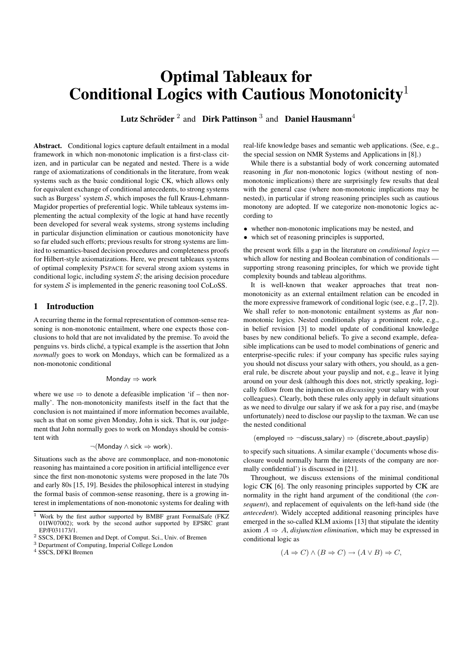# Optimal Tableaux for Conditional Logics with Cautious Monotonicity<sup>1</sup>

Lutz Schröder<sup>2</sup> and Dirk Pattinson<sup>3</sup> and Daniel Hausmann<sup>4</sup>

Abstract. Conditional logics capture default entailment in a modal framework in which non-monotonic implication is a first-class citizen, and in particular can be negated and nested. There is a wide range of axiomatizations of conditionals in the literature, from weak systems such as the basic conditional logic CK, which allows only for equivalent exchange of conditional antecedents, to strong systems such as Burgess' system  $S$ , which imposes the full Kraus-Lehmann-Magidor properties of preferential logic. While tableaux systems implementing the actual complexity of the logic at hand have recently been developed for several weak systems, strong systems including in particular disjunction elimination or cautious monotonicity have so far eluded such efforts; previous results for strong systems are limited to semantics-based decision procedures and completeness proofs for Hilbert-style axiomatizations. Here, we present tableaux systems of optimal complexity PSPACE for several strong axiom systems in conditional logic, including system  $S$ ; the arising decision procedure for system  $S$  is implemented in the generic reasoning tool CoLoSS.

## 1 Introduction

A recurring theme in the formal representation of common-sense reasoning is non-monotonic entailment, where one expects those conclusions to hold that are not invalidated by the premise. To avoid the penguins vs. birds cliche, a typical example is the assertion that John ´ *normally* goes to work on Mondays, which can be formalized as a non-monotonic conditional

#### Monday ⇒ work

where we use  $\Rightarrow$  to denote a defeasible implication 'if – then normally'. The non-monotonicity manifests itself in the fact that the conclusion is not maintained if more information becomes available, such as that on some given Monday, John is sick. That is, our judgement that John normally goes to work on Mondays should be consistent with

$$
\neg(\mathsf{Monday} \land \mathsf{sick} \Rightarrow \mathsf{work}).
$$

Situations such as the above are commonplace, and non-monotonic reasoning has maintained a core position in artificial intelligence ever since the first non-monotonic systems were proposed in the late 70s and early 80s [15, 19]. Besides the philosophical interest in studying the formal basis of common-sense reasoning, there is a growing interest in implementations of non-monotonic systems for dealing with real-life knowledge bases and semantic web applications. (See, e.g., the special session on NMR Systems and Applications in [8].)

While there is a substantial body of work concerning automated reasoning in *flat* non-monotonic logics (without nesting of nonmonotonic implications) there are surprisingly few results that deal with the general case (where non-monotonic implications may be nested), in particular if strong reasoning principles such as cautious monotony are adopted. If we categorize non-monotonic logics according to

- whether non-monotonic implications may be nested, and
- which set of reasoning principles is supported,

the present work fills a gap in the literature on *conditional logics* which allow for nesting and Boolean combination of conditionals supporting strong reasoning principles, for which we provide tight complexity bounds and tableau algorithms.

It is well-known that weaker approaches that treat nonmonotonicity as an external entailment relation can be encoded in the more expressive framework of conditional logic (see, e.g., [7, 2]). We shall refer to non-monotonic entailment systems as *flat* nonmonotonic logics. Nested conditionals play a prominent role, e.g., in belief revision [3] to model update of conditional knowledge bases by new conditional beliefs. To give a second example, defeasible implications can be used to model combinations of generic and enterprise-specific rules: if your company has specific rules saying you should not discuss your salary with others, you should, as a general rule, be discrete about your payslip and not, e.g., leave it lying around on your desk (although this does not, strictly speaking, logically follow from the injunction on *discussing* your salary with your colleagues). Clearly, both these rules only apply in default situations as we need to divulge our salary if we ask for a pay rise, and (maybe unfortunately) need to disclose our payslip to the taxman. We can use the nested conditional

 $(emploved \Rightarrow \neg discuss\_salary) \Rightarrow (discrete\_about\_payslip)$ 

to specify such situations. A similar example ('documents whose disclosure would normally harm the interests of the company are normally confidential') is discussed in [21].

Throughout, we discuss extensions of the minimal conditional logic CK [6]. The only reasoning principles supported by CK are normality in the right hand argument of the conditional (the *consequent*), and replacement of equivalents on the left-hand side (the *antecedent*). Widely accepted additional reasoning principles have emerged in the so-called KLM axioms [13] that stipulate the identity axiom  $A \Rightarrow A$ , *disjunction elimination*, which may be expressed in conditional logic as

$$
(A \Rightarrow C) \land (B \Rightarrow C) \rightarrow (A \lor B) \Rightarrow C,
$$

<sup>1</sup> Work by the first author supported by BMBF grant FormalSafe (FKZ 01IW07002); work by the second author supported by EPSRC grant EP/F031173/1.

<sup>2</sup> SSCS, DFKI Bremen and Dept. of Comput. Sci., Univ. of Bremen

<sup>3</sup> Department of Computing, Imperial College London

<sup>4</sup> SSCS, DFKI Bremen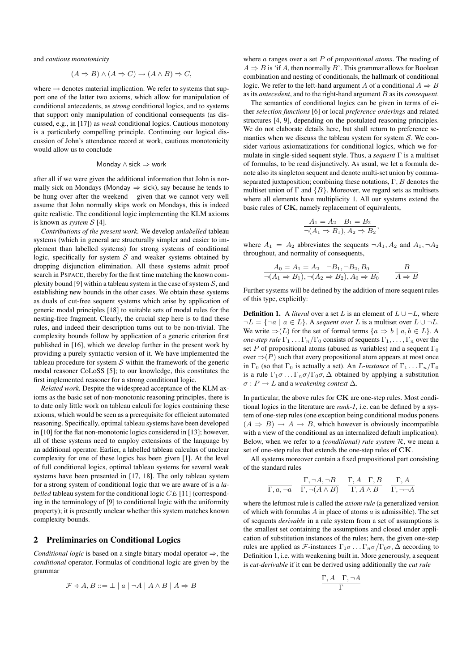and *cautious monotonicity*

$$
(A \Rightarrow B) \land (A \Rightarrow C) \to (A \land B) \Rightarrow C,
$$

where  $\rightarrow$  denotes material implication. We refer to systems that support one of the latter two axioms, which allow for manipulation of conditional antecedents, as *strong* conditional logics, and to systems that support only manipulation of conditional consequents (as discussed, e.g., in [17]) as *weak* conditional logics. Cautious monotony is a particularly compelling principle. Continuing our logical discussion of John's attendance record at work, cautious monotonicity would allow us to conclude

#### Monday ∧ sick ⇒ work

after all if we were given the additional information that John is normally sick on Mondays (Monday  $\Rightarrow$  sick), say because he tends to be hung over after the weekend – given that we cannot very well assume that John normally skips work on Mondays, this is indeed quite realistic. The conditional logic implementing the KLM axioms is known as *system* S [4].

*Contributions of the present work.* We develop *unlabelled* tableau systems (which in general are structurally simpler and easier to implement than labelled systems) for strong systems of conditional logic, specifically for system  $S$  and weaker systems obtained by dropping disjunction elimination. All these systems admit proof search in PSPACE, thereby for the first time matching the known complexity bound [9] within a tableau system in the case of system  $S$ , and establishing new bounds in the other cases. We obtain these systems as duals of cut-free sequent systems which arise by application of generic modal principles [18] to suitable sets of modal rules for the nesting-free fragment. Clearly, the crucial step here is to find these rules, and indeed their description turns out to be non-trivial. The complexity bounds follow by application of a generic criterion first published in [16], which we develop further in the present work by providing a purely syntactic version of it. We have implemented the tableau procedure for system  $S$  within the framework of the generic modal reasoner CoLoSS [5]; to our knowledge, this constitutes the first implemented reasoner for a strong conditional logic.

*Related work.* Despite the widespread acceptance of the KLM axioms as the basic set of non-monotonic reasoning principles, there is to date only little work on tableau calculi for logics containing these axioms, which would be seen as a prerequisite for efficient automated reasoning. Specifically, optimal tableau systems have been developed in [10] for the flat non-monotonic logics considered in [13]; however, all of these systems need to employ extensions of the language by an additional operator. Earlier, a labelled tableau calculus of unclear complexity for one of these logics has been given [1]. At the level of full conditional logics, optimal tableau systems for several weak systems have been presented in [17, 18]. The only tableau system for a strong system of conditional logic that we are aware of is a *labelled* tableau system for the conditional logic CE [11] (corresponding in the terminology of [9] to conditional logic with the uniformity property); it is presently unclear whether this system matches known complexity bounds.

## 2 Preliminaries on Conditional Logics

*Conditional logic* is based on a single binary modal operator ⇒, the *conditional* operator. Formulas of conditional logic are given by the grammar

$$
\mathcal{F} \ni A, B ::= \bot \mid a \mid \neg A \mid A \land B \mid A \Rightarrow B
$$

where a ranges over a set P of *propositional atoms*. The reading of  $A \Rightarrow B$  is 'if A, then normally B'. This grammar allows for Boolean combination and nesting of conditionals, the hallmark of conditional logic. We refer to the left-hand argument A of a conditional  $A \Rightarrow B$ as its *antecedent*, and to the right-hand argument B as its *consequent*.

The semantics of conditional logics can be given in terms of either *selection functions* [6] or local *preference orderings* and related structures [4, 9], depending on the postulated reasoning principles. We do not elaborate details here, but shall return to preference semantics when we discuss the tableau system for system  $S$ . We consider various axiomatizations for conditional logics, which we formulate in single-sided sequent style. Thus, a *sequent* Γ is a multiset of formulas, to be read disjunctively. As usual, we let a formula denote also its singleton sequent and denote multi-set union by commaseparated juxtaposition; combining these notations,  $\Gamma$ ,  $B$  denotes the multiset union of  $\Gamma$  and  $\{B\}$ . Moreover, we regard sets as multisets where all elements have multiplicity 1. All our systems extend the basic rules of CK, namely replacement of equivalents,

$$
A_1 = A_2 \quad B_1 = B_2 \n\neg(A_1 \Rightarrow B_1), A_2 \Rightarrow B_2,
$$

where  $A_1 = A_2$  abbreviates the sequents  $\neg A_1$ ,  $A_2$  and  $A_1$ ,  $\neg A_2$ throughout, and normality of consequents,

$$
A_0 = A_1 = A_2 \quad \neg B_1, \neg B_2, B_0
$$
  

$$
\neg (A_1 \Rightarrow B_1), \neg (A_2 \Rightarrow B_2), A_0 \Rightarrow B_0
$$
  

$$
A \Rightarrow B
$$

Further systems will be defined by the addition of more sequent rules of this type, explicitly:

**Definition 1.** A *literal* over a set L is an element of  $L \cup \neg L$ , where  $\neg L = \{\neg a \mid a \in L\}$ . A *sequent over* L is a multiset over  $L \cup \neg L$ . We write  $\Rightarrow$  (L) for the set of formal terms  $\{a \Rightarrow b \mid a, b \in L\}$ . *one-step rule*  $\Gamma_1 \ldots \Gamma_n/\Gamma_0$  consists of sequents  $\Gamma_1, \ldots, \Gamma_n$  over the set P of propositional atoms (abused as variables) and a sequent  $\Gamma_0$ over  $\Rightarrow$  (P) such that every propositional atom appears at most once in  $\Gamma_0$  (so that  $\Gamma_0$  is actually a set). An *L*-instance of  $\Gamma_1 \dots \Gamma_n/\Gamma_0$ is a rule  $\Gamma_1 \sigma \ldots \Gamma_n \sigma / \Gamma_0 \sigma$ ,  $\Delta$  obtained by applying a substitution  $\sigma: P \to L$  and a *weakening context*  $\Delta$ .

In particular, the above rules for CK are one-step rules. Most conditional logics in the literature are *rank-1*, i.e. can be defined by a system of one-step rules (one exception being conditional modus ponens  $(A \Rightarrow B) \rightarrow A \rightarrow B$ , which however is obviously incompatible with a view of the conditional as an internalized default implication). Below, when we refer to a *(conditional) rule system* R, we mean a set of one-step rules that extends the one-step rules of CK.

All systems moreover contain a fixed propositional part consisting of the standard rules

$$
\frac{\Gamma, \neg A, \neg B}{\Gamma, a, \neg a} \quad \frac{\Gamma, \neg A, \neg B}{\Gamma, \neg (A \land B)} \quad \frac{\Gamma, A \quad \Gamma, B}{\Gamma, A \land B} \quad \frac{\Gamma, A}{\Gamma, \neg \neg A}
$$

where the leftmost rule is called the *axiom rule* (a generalized version of which with formulas  $A$  in place of atoms  $a$  is admissible). The set of sequents *derivable* in a rule system from a set of assumptions is the smallest set containing the assumptions and closed under application of substitution instances of the rules; here, the given one-step rules are applied as F-instances  $\Gamma_1 \sigma \dots \Gamma_n \sigma / \Gamma_0 \sigma$ ,  $\Delta$  according to Definition 1, i.e. with weakening built in. More generously, a sequent is *cut-derivable* if it can be derived using additionally the *cut rule*

$$
\frac{\Gamma, A \quad \Gamma, \neg A}{\Gamma}
$$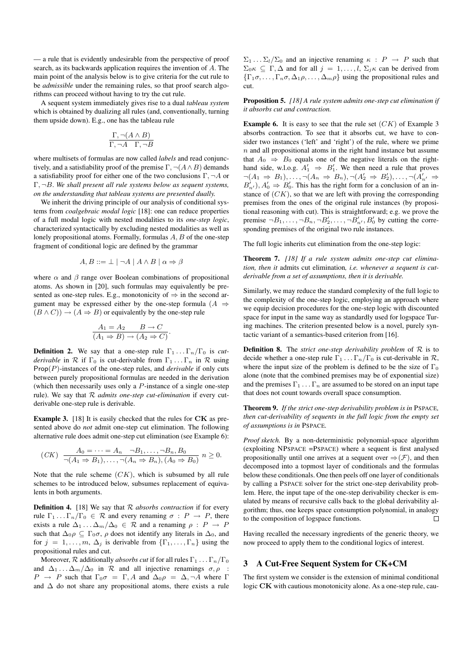— a rule that is evidently undesirable from the perspective of proof search, as its backwards application requires the invention of A. The main point of the analysis below is to give criteria for the cut rule to be *admissible* under the remaining rules, so that proof search algorithms can proceed without having to try the cut rule.

A sequent system immediately gives rise to a dual *tableau system* which is obtained by dualizing all rules (and, conventionally, turning them upside down). E.g., one has the tableau rule

$$
\frac{\Gamma, \neg(A \land B)}{\Gamma, \neg A \quad \Gamma, \neg B}
$$

where multisets of formulas are now called *labels* and read conjunctively, and a satisfiability proof of the premise  $\Gamma$ ,  $\neg$ ( $A \wedge B$ ) demands a satisfiability proof for either one of the two conclusions  $\Gamma$ ,  $\neg A$  or Γ, ¬B. *We shall present all rule systems below as sequent systems, on the understanding that tableau systems are presented dually.*

We inherit the driving principle of our analysis of conditional systems from *coalgebraic modal logic* [18]: one can reduce properties of a full modal logic with nested modalities to its *one-step logic*, characterized syntactically by excluding nested modalities as well as lonely propositional atoms. Formally, formulas  $A, B$  of the one-step fragment of conditional logic are defined by the grammar

$$
A, B ::= \bot \mid \neg A \mid A \land B \mid \alpha \Rightarrow \beta
$$

where  $\alpha$  and  $\beta$  range over Boolean combinations of propositional atoms. As shown in [20], such formulas may equivalently be presented as one-step rules. E.g., monotonicity of  $\Rightarrow$  in the second argument may be expressed either by the one-step formula ( $A \Rightarrow$  $(B \wedge C)$  →  $(A \Rightarrow B)$  or equivalently by the one-step rule

$$
\frac{A_1 = A_2 \qquad B \to C}{(A_1 \Rightarrow B) \to (A_2 \Rightarrow C)}
$$

.

**Definition 2.** We say that a one-step rule  $\Gamma_1 \ldots \Gamma_n/\Gamma_0$  is *cutderivable* in  $\mathcal R$  if  $\Gamma_0$  is cut-derivable from  $\Gamma_1 \dots \Gamma_n$  in  $\mathcal R$  using Prop(P)-instances of the one-step rules, and *derivable* if only cuts between purely propositional formulas are needed in the derivation (which then necessarily uses only a  $P$ -instance of a single one-step rule). We say that R *admits one-step cut-elimination* if every cutderivable one-step rule is derivable.

Example 3. [18] It is easily checked that the rules for CK as presented above do *not* admit one-step cut elimination. The following alternative rule does admit one-step cut elimination (see Example 6):

$$
(CK) \frac{A_0 = \dots = A_n \quad \neg B_1, \dots, \neg B_n, B_0}{\neg (A_1 \Rightarrow B_1), \dots, \neg (A_n \Rightarrow B_n), (A_0 \Rightarrow B_0)} n \ge 0.
$$

Note that the rule scheme  $(CK)$ , which is subsumed by all rule schemes to be introduced below, subsumes replacement of equivalents in both arguments.

Definition 4. [18] We say that R *absorbs contraction* if for every rule  $\Gamma_1 \dots \Gamma_n/\Gamma_0 \in \mathcal{R}$  and every renaming  $\sigma : P \to P$ , there exists a rule  $\Delta_1 \ldots \Delta_m/\Delta_0 \in \mathcal{R}$  and a renaming  $\rho : P \to P$ such that  $\Delta_0 \rho \subseteq \Gamma_0 \sigma$ ,  $\rho$  does not identify any literals in  $\Delta_0$ , and for  $j = 1, \ldots, m, \Delta_j$  is derivable from  $\{\Gamma_1, \ldots, \Gamma_n\}$  using the propositional rules and cut.

Moreover,  $\mathcal R$  additionally *absorbs cut* if for all rules  $\Gamma_1 \dots \Gamma_n/\Gamma_0$ and  $\Delta_1 \ldots \Delta_m / \Delta_0$  in  $\mathcal R$  and all injective renamings  $\sigma, \rho$  :  $P \rightarrow P$  such that  $\Gamma_0 \sigma = \Gamma$ , A and  $\Delta_0 \rho = \Delta$ ,  $\neg A$  where  $\Gamma$ and  $\Delta$  do not share any propositional atoms, there exists a rule  $\Sigma_1 \dots \Sigma_l / \Sigma_0$  and an injective renaming  $\kappa : P \rightarrow P$  such that  $\Sigma_0 \kappa \subseteq \Gamma$ ,  $\Delta$  and for all  $j = 1, \ldots, l$ ,  $\Sigma_j \kappa$  can be derived from  $\{\Gamma_1\sigma,\ldots,\Gamma_n\sigma,\Delta_1\rho,\ldots,\Delta_m\rho\}$  using the propositional rules and cut.

Proposition 5. *[18] A rule system admits one-step cut elimination if it absorbs cut and contraction.*

**Example 6.** It is easy to see that the rule set  $(CK)$  of Example 3 absorbs contraction. To see that it absorbs cut, we have to consider two instances ('left' and 'right') of the rule, where we prime  $n$  and all propositional atoms in the right hand instance but assume that  $A_0 \Rightarrow B_0$  equals one of the negative literals on the righthand side, w.l.o.g.  $A'_1 \Rightarrow B'_1$ . We then need a rule that proves  $\neg(A_1 \Rightarrow B_1), \ldots, \neg(A_n \Rightarrow B_n), \neg(A_2' \Rightarrow B_2'), \ldots, \neg(A_{n'}' \Rightarrow$  $B'_{n'}$ ,  $A'_0 \Rightarrow B'_0$ . This has the right form for a conclusion of an instance of  $(CK)$ , so that we are left with proving the corresponding premises from the ones of the original rule instances (by propositional reasoning with cut). This is straightforward; e.g. we prove the premise  $\neg B_1, \ldots, \neg B_n, \neg B'_2, \ldots, \neg B'_{n'}, B'_0$  by cutting the corresponding premises of the original two rule instances.

The full logic inherits cut elimination from the one-step logic:

Theorem 7. *[18] If a rule system admits one-step cut elimination, then it* admits cut elimination*, i.e. whenever a sequent is cutderivable from a set of assumptions, then it is derivable.*

Similarly, we may reduce the standard complexity of the full logic to the complexity of the one-step logic, employing an approach where we equip decision procedures for the one-step logic with discounted space for input in the same way as standardly used for logspace Turing machines. The criterion presented below is a novel, purely syntactic variant of a semantics-based criterion from [16].

**Definition 8.** The *strict one-step derivability problem* of  $R$  is to decide whether a one-step rule  $\Gamma_1 \dots \Gamma_n/\Gamma_0$  is cut-derivable in  $\mathcal{R}$ , where the input size of the problem is defined to be the size of  $\Gamma_0$ alone (note that the combined premises may be of exponential size) and the premises  $\Gamma_1 \ldots \Gamma_n$  are assumed to be stored on an input tape that does not count towards overall space consumption.

Theorem 9. *If the strict one-step derivability problem is in* PSPACE*, then cut-derivability of sequents in the full logic from the empty set of assumptions is in* PSPACE*.*

*Proof sketch.* By a non-deterministic polynomial-space algorithm (exploiting NPSPACE =PSPACE) where a sequent is first analysed propositionally until one arrives at a sequent over  $\Rightarrow$   $(\mathcal{F})$ , and then decomposed into a topmost layer of conditionals and the formulas below these conditionals. One then peels off one layer of conditionals by calling a PSPACE solver for the strict one-step derivability problem. Here, the input tape of the one-step derivability checker is emulated by means of recursive calls back to the global derivability algorithm; thus, one keeps space consumption polynomial, in analogy to the composition of logspace functions.  $\Box$ 

Having recalled the necessary ingredients of the generic theory, we now proceed to apply them to the conditional logics of interest.

# 3 A Cut-Free Sequent System for CK+CM

The first system we consider is the extension of minimal conditional logic CK with cautious monotonicity alone. As a one-step rule, cau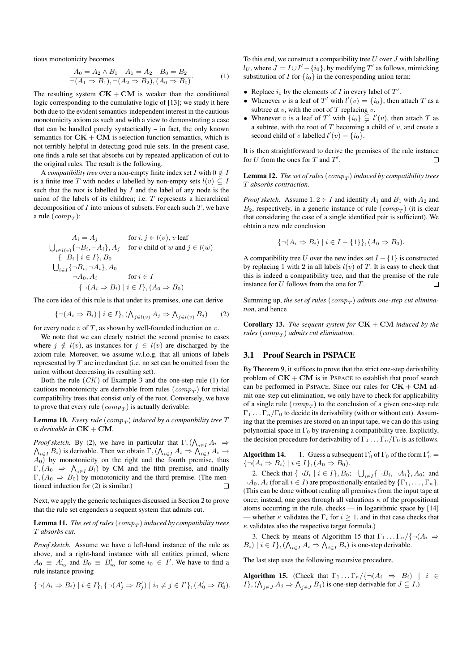tious monotonicity becomes

$$
\frac{A_0 = A_2 \wedge B_1 \quad A_1 = A_2 \quad B_0 = B_2}{\neg(A_1 \Rightarrow B_1), \neg(A_2 \Rightarrow B_2), (A_0 \Rightarrow B_0)}.
$$
 (1)

The resulting system  $CK + CM$  is weaker than the conditional logic corresponding to the cumulative logic of [13]; we study it here both due to the evident semantics-independent interest in the cautious monotonicity axiom as such and with a view to demonstrating a case that can be handled purely syntactically – in fact, the only known semantics for  $CK + CM$  is selection function semantics, which is not terribly helpful in detecting good rule sets. In the present case, one finds a rule set that absorbs cut by repeated application of cut to the original rules. The result is the following.

A *compatibility tree* over a non-empty finite index set I with  $0 \notin I$ is a finite tree T with nodes v labelled by non-empty sets  $l(v) \subseteq I$ such that the root is labelled by  $I$  and the label of any node is the union of the labels of its children; i.e. T represents a hierarchical decomposition of  $I$  into unions of subsets. For each such  $T$ , we have a rule  $\left( comp_T \right)$ :

$$
A_i = A_j \quad \text{for } i, j \in l(v), v \text{ leaf}
$$
\n
$$
\bigcup_{i \in l(v)} \{\neg B_i, \neg A_i\}, A_j \quad \text{for } v \text{ child of } w \text{ and } j \in l(w)
$$
\n
$$
\{\neg B_i \mid i \in I\}, B_0
$$
\n
$$
\bigcup_{i \in I} \{\neg B_i, \neg A_i\}, A_0 \quad \text{for } i \in I
$$
\n
$$
\{\neg (A_i \Rightarrow B_i) \mid i \in I\}, (A_0 \Rightarrow B_0)
$$

The core idea of this rule is that under its premises, one can derive

$$
\{\neg(A_i \Rightarrow B_i) \mid i \in I\}, (\bigwedge_{j \in l(v)} A_j \Rightarrow \bigwedge_{j \in l(v)} B_j) \tag{2}
$$

for every node  $v$  of  $T$ , as shown by well-founded induction on  $v$ .

We note that we can clearly restrict the second premise to cases where  $j \notin l(v)$ , as instances for  $j \in l(v)$  are discharged by the axiom rule. Moreover, we assume w.l.o.g. that all unions of labels represented by T are irredundant (i.e. no set can be omitted from the union without decreasing its resulting set).

Both the rule  $(CK)$  of Example 3 and the one-step rule (1) for cautious monotonicity are derivable from rules  $\left( comp_T \right)$  for trivial compatibility trees that consist only of the root. Conversely, we have to prove that every rule  $\left( comp_T \right)$  is actually derivable:

**Lemma 10.** Every rule  $\left( comp_T \right)$  induced by a compatibility tree T *is derivable in*  $CK + CM$ .

*Proof sketch.* By (2), we have in particular that  $\Gamma$ ,  $(\bigwedge_{i \in I} A_i \Rightarrow \bigwedge_{i \in I} B_i)$  is derivable. Then we obtain  $\Gamma$ ,  $(\bigwedge_{i \in I} A_i \Rightarrow \bigwedge_{i \in I} A_i \rightarrow \bigwedge_{i \in I} A_i)$  $i \in I$  B<sub>i</sub>) is derivable. Then we obtain  $\Gamma$ ,  $(\bigwedge_{i \in I} A_i \Rightarrow \bigwedge_{i \in I} A_i \rightarrow$  $A_0$ ) by monotonicity on the right and the fourth premise, thus  $\Gamma$ ,  $(A_0 \Rightarrow \Lambda_{i \in I} B_i)$  by CM and the fifth premise, and finally  $\Gamma$ ,  $(A_0 \Rightarrow B_0)$  by monotonicity and the third premise. (The mentioned induction for (2) is similar.)  $\Box$ 

Next, we apply the generic techniques discussed in Section 2 to prove that the rule set engenders a sequent system that admits cut.

## ${\bf Lemma \ 11.}$  The set of rules  $\left( comp_T \right)$  induced by compatibility trees T *absorbs cut.*

*Proof sketch.* Assume we have a left-hand instance of the rule as above, and a right-hand instance with all entities primed, where  $A_0 \equiv A'_{i_0}$  and  $B_0 \equiv B'_{i_0}$  for some  $i_0 \in I'$ . We have to find a rule instance proving

$$
\{\neg (A_i \Rightarrow B_i) \mid i \in I\}, \{\neg (A'_j \Rightarrow B'_j) \mid i_0 \neq j \in I'\}, (A'_0 \Rightarrow B'_0).
$$

To this end, we construct a compatibility tree  $U$  over  $J$  with labelling  $l_U$ , where  $J = I \cup I' - \{i_0\}$ , by modifying  $T'$  as follows, mimicking substitution of I for  $\{i_0\}$  in the corresponding union term:

- Replace  $i_0$  by the elements of I in every label of  $T'$ .
- Whenever v is a leaf of T' with  $l'(v) = \{i_0\}$ , then attach T as a subtree at  $v$ , with the root of  $T$  replacing  $v$ .
- Whenever v is a leaf of T' with  $\{i_0\} \subsetneq l'(v)$ , then attach T as a subtree, with the root of  $T$  becoming a child of  $v$ , and create a second child of v labelled  $l'(v) - \{i_0\}.$

It is then straightforward to derive the premises of the rule instance for  $U$  from the ones for  $T$  and  $T'$ . П

**Lemma 12.** The set of rules  $\left( comp_T \right)$  induced by compatibility trees T *absorbs contraction.*

*Proof sketch.* Assume  $1, 2 \in I$  and identify  $A_1$  and  $B_1$  with  $A_2$  and  $B_2$ , respectively, in a generic instance of rule  $\left( comp_T \right)$  (it is clear that considering the case of a single identified pair is sufficient). We obtain a new rule conclusion

$$
\{\neg (A_i \Rightarrow B_i) \mid i \in I - \{1\}\}, (A_0 \Rightarrow B_0).
$$

A compatibility tree U over the new index set  $I - \{1\}$  is constructed by replacing 1 with 2 in all labels  $l(v)$  of T. It is easy to check that this is indeed a compatibility tree, and that the premise of the rule instance for U follows from the one for T.  $\Box$ 

Summing up, the set of rules  $(\mathit{comp}_T)$  admits one-step cut elimina*tion*, and hence

**Corollary 13.** *The sequent system for*  $CK + CM$  *induced by the rules* ( $comp_T$ ) *admits cut elimination.* 

## 3.1 Proof Search in PSPACE

By Theorem 9, it suffices to prove that the strict one-step derivability problem of  $CK + CM$  is in PSPACE to establish that proof search can be performed in PSPACE. Since our rules for  $CK + CM$  admit one-step cut elimination, we only have to check for applicability of a single rule  $\left( comp_T \right)$  to the conclusion of a given one-step rule  $\Gamma_1 \ldots \Gamma_n/\Gamma_0$  to decide its derivability (with or without cut). Assuming that the premises are stored on an input tape, we can do this using polynomial space in  $\Gamma_0$  by traversing a compatibility tree. Explicitly, the decision procedure for derivability of  $\Gamma_1 \dots \Gamma_n/\Gamma_0$  is as follows.

**Algorithm 14.** 1. Guess a subsequent  $\Gamma'_0$  of  $\Gamma_0$  of the form  $\Gamma'_0$  =  $\{\neg (A_i \Rightarrow B_i) \mid i \in I\}, (A_0 \Rightarrow B_0).$ 

2. Check that  $\{\neg B_i \mid i \in I\}$ ,  $B_0$ ;  $\bigcup_{i \in I} \{\neg B_i, \neg A_i\}$ ,  $A_0$ ; and  $\neg A_0, A_i$  (for all  $i \in I$ ) are propositionally entailed by  $\{\Gamma_1, \ldots, \Gamma_n\}.$ (This can be done without reading all premises from the input tape at once; instead, one goes through all valuations  $\kappa$  of the propositional atoms occurring in the rule, checks — in logarithmic space by [14] — whether  $\kappa$  validates the  $\Gamma_i$  for  $i \geq 1$ , and in that case checks that  $\kappa$  validates also the respective target formula.)

3. Check by means of Algorithm 15 that  $\Gamma_1 \dots \Gamma_n / \{\neg(A_i \Rightarrow$  $B_i) \mid i \in I\}, (\bigwedge_{i \in I} A_i \Rightarrow \bigwedge_{i \in I} B_i)$  is one-step derivable.

The last step uses the following recursive procedure.

Algorithm 15. (Check that  $\Gamma_1 \dots \Gamma_n / \{\neg(A_i \Rightarrow B_i) \mid i \in$  $I\}, (\bigwedge_{j\in J} A_j \Rightarrow \bigwedge_{j\in J} B_j)$  is one-step derivable for  $J \subseteq I$ .)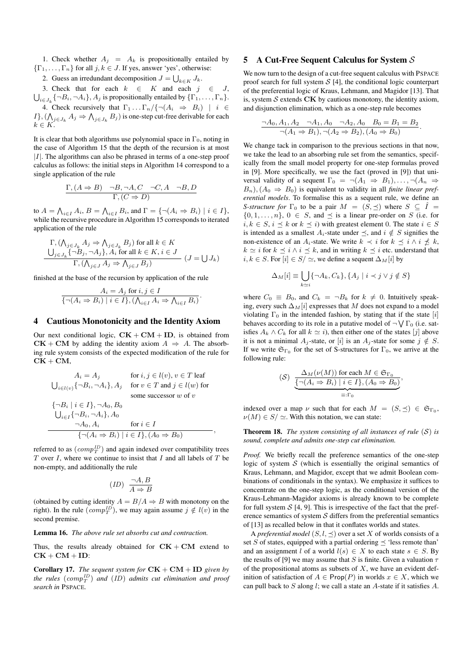1. Check whether  $A_j = A_k$  is propositionally entailed by  $\{\Gamma_1, \ldots, \Gamma_n\}$  for all  $j, k \in J$ . If yes, answer 'yes', otherwise:

2. Guess an irredundant decomposition  $J = \bigcup_{k \in K} J_k$ .

3. Check that for each  $k \in K$  and each  $j \in J$ ,  $\bigcup_{i\in J_k}\{\neg B_i, \neg A_i\}, A_j$  is propositionally entailed by  $\{\Gamma_1, \ldots, \Gamma_n\}$ . 4. Check recursively that  $\Gamma_1 \dots \Gamma_n / \{\neg (A_i \Rightarrow B_i) \mid i \in$  $I\},(\bigwedge_{j\in J_k}A_j\Rightarrow \bigwedge_{j\in J_k}B_j)$  is one-step cut-free derivable for each  $k \in K$ .

It is clear that both algorithms use polynomial space in  $\Gamma_0$ , noting in the case of Algorithm 15 that the depth of the recursion is at most  $|I|$ . The algorithms can also be phrased in terms of a one-step proof calculus as follows: the initial steps in Algorithm 14 correspond to a single application of the rule

$$
\frac{\Gamma,(A \Rightarrow B) \quad \neg B, \neg A, C \quad \neg C, A \quad \neg B, D}{\Gamma,(C \Rightarrow D)}
$$

to  $A = \bigwedge_{i \in I} A_i$ ,  $B = \bigwedge_{i \in I} B_i$ , and  $\Gamma = \{\neg (A_i \Rightarrow B_i) \mid i \in I\}$ , while the recursive procedure in Algorithm 15 corresponds to iterated application of the rule

$$
\Gamma, (\bigwedge_{j \in J_k} A_j \Rightarrow \bigwedge_{j \in J_k} B_j) \text{ for all } k \in K
$$
  

$$
\bigcup_{j \in J_k} {\neg B_j, \neg A_j}, A_i \text{ for all } k \in K, i \in J
$$
  

$$
\Gamma, (\bigwedge_{j \in J} A_j \Rightarrow \bigwedge_{j \in J} B_j) \qquad (J = \bigcup J_k)
$$

finished at the base of the recursion by application of the rule

$$
\frac{A_i = A_j \text{ for } i, j \in I}{\{\neg(A_i \Rightarrow B_i) \mid i \in I\}, (\bigwedge_{i \in I} A_i \Rightarrow \bigwedge_{i \in I} B_i)}.
$$

#### 4 Cautious Monotonicity and the Identity Axiom

Our next conditional logic,  $CK + CM + ID$ , is obtained from  $CK + CM$  by adding the identity axiom  $A \Rightarrow A$ . The absorbing rule system consists of the expected modification of the rule for  $CK + CM$ ,

$$
A_i = A_j \quad \text{for } i, j \in l(v), v \in T \text{ leaf}
$$
\n
$$
\bigcup_{i \in l(v)} \{\neg B_i, \neg A_i\}, A_j \quad \text{for } v \in T \text{ and } j \in l(w) \text{ for}
$$
\n
$$
\{\neg B_i \mid i \in I\}, \neg A_0, B_0
$$
\n
$$
\bigcup_{i \in I} \{\neg B_i, \neg A_i\}, A_0
$$
\n
$$
\neg A_0, A_i \quad \text{for } i \in I
$$
\n
$$
\{\neg (A_i \Rightarrow B_i) \mid i \in I\}, (A_0 \Rightarrow B_0)
$$

referred to as  $(\textit{comp}_T^{ID})$  and again indexed over compatibility trees  $T$  over  $I$ , where we continue to insist that  $I$  and all labels of  $T$  be non-empty, and additionally the rule

$$
(ID) \ \frac{\neg A,B}{A \Rightarrow B}
$$

(obtained by cutting identity  $A = B/A \Rightarrow B$  with monotony on the right). In the rule  $(\text{comp}_T^{ID})$ , we may again assume  $j \notin l(v)$  in the second premise.

#### Lemma 16. *The above rule set absorbs cut and contraction.*

Thus, the results already obtained for  $CK + CM$  extend to  $CK + CM + ID$ :

**Corollary 17.** *The sequent system for*  $CK + CM + ID$  *given by* the rules  $(\mathit{comp}_T^{ID})$  and  $(ID)$  admits cut elimination and proof *search in* PSPACE*.*

## 5 A Cut-Free Sequent Calculus for System  $S$

We now turn to the design of a cut-free sequent calculus with PSPACE proof search for full system  $S$  [4], the conditional logic counterpart of the preferential logic of Kraus, Lehmann, and Magidor [13]. That is, system  $S$  extends  $CK$  by cautious monotony, the identity axiom, and disjunction elimination, which as a one-step rule becomes

$$
\frac{\neg A_0, A_1, A_2 \quad \neg A_1, A_0 \quad \neg A_2, A_0 \quad B_0 = B_1 = B_2}{\neg (A_1 \Rightarrow B_1), \neg (A_2 \Rightarrow B_2), (A_0 \Rightarrow B_0)}.
$$

We change tack in comparison to the previous sections in that now, we take the lead to an absorbing rule set from the semantics, specifically from the small model property for one-step formulas proved in [9]. More specifically, we use the fact (proved in [9]) that universal validity of a sequent  $\Gamma_0 = \neg(A_1 \Rightarrow B_1), \dots, \neg(A_n \Rightarrow$  $B_n$ ),  $(A_0 \Rightarrow B_0)$  is equivalent to validity in all *finite linear preferential models*. To formalise this as a sequent rule, we define an *S-structure for*  $\Gamma_0$  to be a pair  $M = (S, \preceq)$  where  $S \subseteq \hat{I}$  $\{0, 1, \ldots, n\}, 0 \in S$ , and  $\preceq$  is a linear pre-order on S (i.e. for  $i, k \in S$ ,  $i \leq k$  or  $k \leq i$ ) with greatest element 0. The state  $i \in S$ is intended as a smallest  $A_i$ -state under  $\preceq$ , and  $i \notin S$  signifies the non-existence of an A<sub>i</sub>-state. We write  $k \prec i$  for  $k \preceq i \land i \npreceq k$ ,  $k \simeq i$  for  $k \preceq i \wedge i \preceq k$ , and in writing  $k \preceq i$  etc. understand that  $i, k \in S$ . For  $[i] \in S' \simeq$ , we define a sequent  $\Delta_M[i]$  by

$$
\Delta_M[i] \equiv \bigcup_{k \simeq i} \{ \neg A_k, C_k \}, \{ A_j \mid i \prec j \lor j \notin S \}
$$

where  $C_0 \equiv B_0$ , and  $C_k = \neg B_k$  for  $k \neq 0$ . Intuitively speaking, every such  $\Delta_M[i]$  expresses that M does not expand to a model violating  $\Gamma_0$  in the intended fashion, by stating that if the state [i] behaves according to its role in a putative model of  $\neg \bigvee \Gamma_0$  (i.e. satisfies  $A_k \wedge C_k$  for all  $k \simeq i$ ), then either one of the states [j] above it is not a minimal  $A_i$ -state, or [i] is an  $A_i$ -state for some  $j \notin S$ . If we write  $\mathfrak{S}_{\Gamma_0}$  for the set of S-structures for  $\Gamma_0$ , we arrive at the following rule:

$$
\text{(S)} \quad \frac{\Delta_M(\nu(M)) \text{ for each } M \in \mathfrak{S}_{\Gamma_0}}{\underbrace{\{\neg(A_i \Rightarrow B_i) \mid i \in I\}, (A_0 \Rightarrow B_0)}}_{\equiv: \Gamma_0},
$$

indexed over a map  $\nu$  such that for each  $M = (S, \preceq) \in \mathfrak{S}_{\Gamma_0}$ ,  $\nu(M) \in S / \simeq$ . With this notation, we can state:

**Theorem 18.** *The system consisting of all instances of rule*  $(S)$  *is sound, complete and admits one-step cut elimination.*

*Proof.* We briefly recall the preference semantics of the one-step logic of system  $S$  (which is essentially the original semantics of Kraus, Lehmann, and Magidor, except that we admit Boolean combinations of conditionals in the syntax). We emphasize it suffices to concentrate on the one-step logic, as the conditional version of the Kraus-Lehmann-Magidor axioms is already known to be complete for full system  $S$  [4, 9]. This is irrespective of the fact that the preference semantics of system  $S$  differs from the preferential semantics of [13] as recalled below in that it conflates worlds and states.

A *preferential model*  $(S, l, \leq)$  over a set X of worlds consists of a set S of states, equipped with a partial ordering  $\preceq$  'less remote than' and an assignment l of a world  $l(s) \in X$  to each state  $s \in S$ . By the results of [9] we may assume that S is finite. Given a valuation  $\tau$ of the propositional atoms as subsets of  $X$ , we have an evident definition of satisfaction of  $A \in \text{Prop}(P)$  in worlds  $x \in X$ , which we can pull back to S along l; we call a state an A-state if it satisfies A.